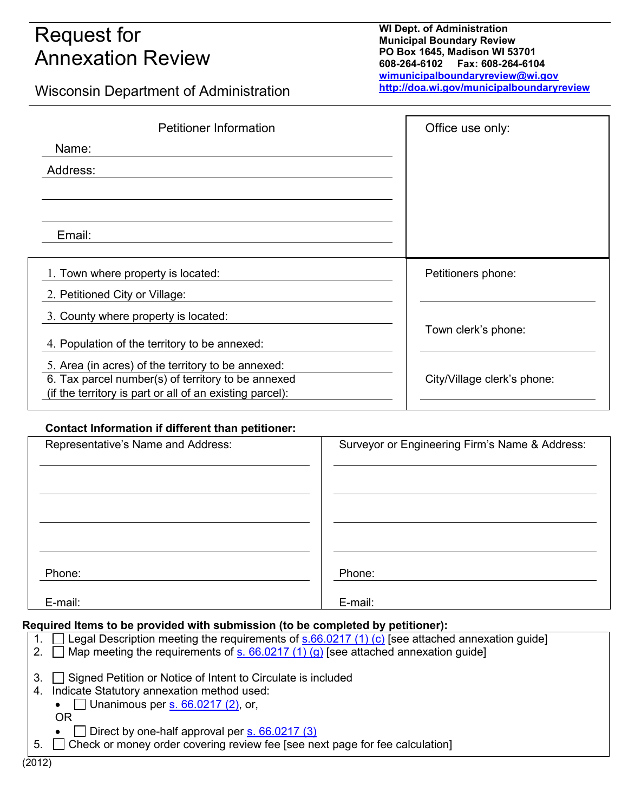# Request for Annexation Review

**WI Dept. of Administration Municipal Boundary Review PO Box 1645, Madison WI 53701 608-264-6102 Fax: 608-264-6104 [wimunicipalboundaryreview@wi.gov](mailto:wimunicipalboundaryreview@wi.gov) <http://doa.wi.gov/municipalboundaryreview>**

Wisconsin Department of Administration

| <b>Petitioner Information</b>                                                                                                                                        | Office use only:            |
|----------------------------------------------------------------------------------------------------------------------------------------------------------------------|-----------------------------|
| Name:                                                                                                                                                                |                             |
| Address:                                                                                                                                                             |                             |
|                                                                                                                                                                      |                             |
| Email:                                                                                                                                                               |                             |
| 1. Town where property is located:                                                                                                                                   | Petitioners phone:          |
| 2. Petitioned City or Village:                                                                                                                                       |                             |
| 3. County where property is located:                                                                                                                                 | Town clerk's phone:         |
| 4. Population of the territory to be annexed:                                                                                                                        |                             |
| 5. Area (in acres) of the territory to be annexed:<br>6. Tax parcel number(s) of territory to be annexed<br>(if the territory is part or all of an existing parcel): | City/Village clerk's phone: |

## **Contact Information if different than petitioner:**

| Representative's Name and Address: | Surveyor or Engineering Firm's Name & Address: |
|------------------------------------|------------------------------------------------|
|                                    |                                                |
|                                    |                                                |
|                                    |                                                |
|                                    |                                                |
|                                    |                                                |
|                                    |                                                |
| Phone:                             | Phone:                                         |
| E-mail:                            | E-mail:                                        |

## **Required Items to be provided with submission (to be completed by petitioner):**

|    | Legal Description meeting the requirements of $s.66.0217(1)(c)$ [see attached annexation guide] |
|----|-------------------------------------------------------------------------------------------------|
|    | $\Box$ Map meeting the requirements of s. 66.0217 (1) (g) [see attached annexation guide]       |
|    |                                                                                                 |
| 3. | Signed Petition or Notice of Intent to Circulate is included                                    |
|    | 4. Indicate Statutory annexation method used:                                                   |
|    | • $\Box$ Unanimous per s. 66.0217 (2), or,                                                      |
|    | OR                                                                                              |
|    | Direct by one-half approval per s. 66.0217 (3)                                                  |
| 5. | $\Box$ Check or money order covering review fee [see next page for fee calculation]             |
|    |                                                                                                 |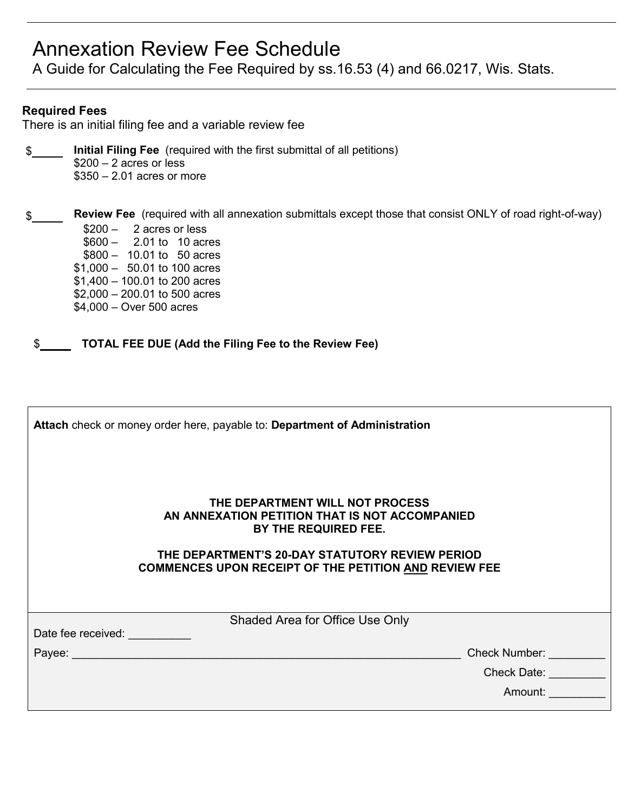## Annexation Review Fee Schedule

A Guide for Calculating the Fee Required by ss.16.53 (4) and 66.0217, Wis. Stats.

## **Required Fees**

There is an initial filing fee and a variable review fee

\$ **Initial Filing Fee** (required with the first submittal of all petitions) \$200 – 2 acres or less \$350 – 2.01 acres or more

\$ **Review Fee** (required with all annexation submittals except those that consist ONLY of road right-of-way)  $$200 - 2$  acres or less \$600 – 2.01 to 10 acres \$800 – 10.01 to 50 acres \$1,000 – 50.01 to 100 acres \$1,400 – 100.01 to 200 acres \$2,000 – 200.01 to 500 acres \$4,000 – Over 500 acres

\$ **TOTAL FEE DUE (Add the Filing Fee to the Review Fee)**

| Attach check or money order here, payable to: Department of Administration                                      |  |  |  |
|-----------------------------------------------------------------------------------------------------------------|--|--|--|
| THE DEPARTMENT WILL NOT PROCESS<br>AN ANNEXATION PETITION THAT IS NOT ACCOMPANIED<br>BY THE REQUIRED FEE.       |  |  |  |
| THE DEPARTMENT'S 20-DAY STATUTORY REVIEW PERIOD<br><b>COMMENCES UPON RECEIPT OF THE PETITION AND REVIEW FEE</b> |  |  |  |
| Shaded Area for Office Use Only                                                                                 |  |  |  |
| Date fee received:                                                                                              |  |  |  |
| <b>Check Number:</b>                                                                                            |  |  |  |
| <b>Check Date:</b>                                                                                              |  |  |  |
| Amount:                                                                                                         |  |  |  |